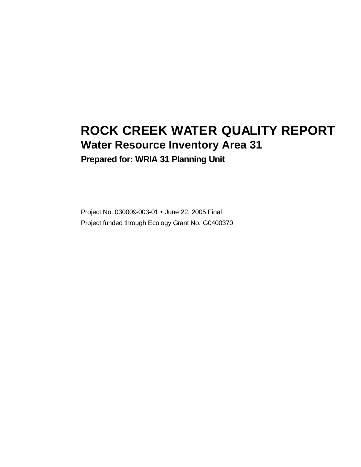# **ROCK CREEK WATER QUALITY REPORT Water Resource Inventory Area 31**

**Prepared for: WRIA 31 Planning Unit**

Project No. 030009-003-01 • June 22, 2005 Final Project funded through Ecology Grant No. G0400370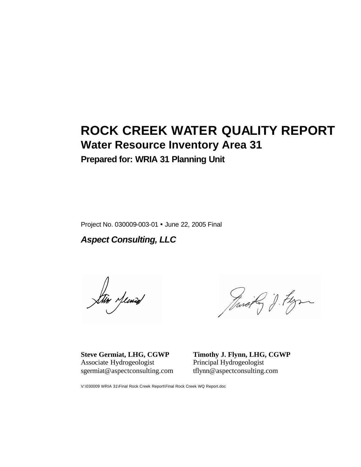# **ROCK CREEK WATER QUALITY REPORT Water Resource Inventory Area 31**

**Prepared for: WRIA 31 Planning Unit**

Project No. 030009-003-01 • June 22, 2005 Final

*Aspect Consulting, LLC*

tin Memed

Twork J. Flyn

**Steve Germiat, LHG, CGWP** Associate Hydrogeologist sgermiat@aspectconsulting.com **Timothy J. Flynn, LHG, CGWP** Principal Hydrogeologist tflynn@aspectconsulting.com

V:\030009 WRIA 31\Final Rock Creek Report\Final Rock Creek WQ Report.doc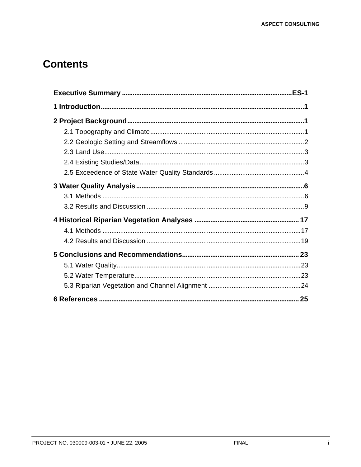## **Contents**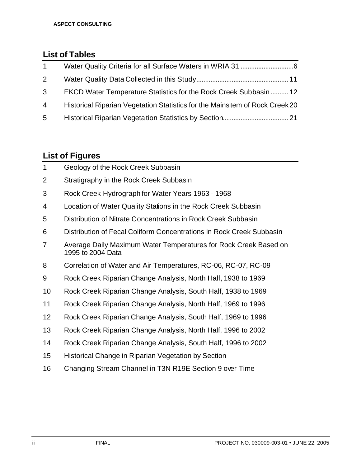### **List of Tables**

| $\overline{1}$ |                                                                             |  |
|----------------|-----------------------------------------------------------------------------|--|
| $\mathbf{2}$   |                                                                             |  |
| $\mathbf{3}$   | EKCD Water Temperature Statistics for the Rock Creek Subbasin  12           |  |
| 4              | Historical Riparian Vegetation Statistics for the Mainstem of Rock Creek 20 |  |
| 5              |                                                                             |  |

### **List of Figures**

| $\mathbf 1$    | Geology of the Rock Creek Subbasin                                                    |
|----------------|---------------------------------------------------------------------------------------|
| $\overline{2}$ | Stratigraphy in the Rock Creek Subbasin                                               |
| 3              | Rock Creek Hydrograph for Water Years 1963 - 1968                                     |
| 4              | Location of Water Quality Stations in the Rock Creek Subbasin                         |
| 5              | Distribution of Nitrate Concentrations in Rock Creek Subbasin                         |
| 6              | Distribution of Fecal Coliform Concentrations in Rock Creek Subbasin                  |
| 7              | Average Daily Maximum Water Temperatures for Rock Creek Based on<br>1995 to 2004 Data |
| 8              | Correlation of Water and Air Temperatures, RC-06, RC-07, RC-09                        |
| 9              | Rock Creek Riparian Change Analysis, North Half, 1938 to 1969                         |
| 10             | Rock Creek Riparian Change Analysis, South Half, 1938 to 1969                         |
| 11             | Rock Creek Riparian Change Analysis, North Half, 1969 to 1996                         |
| 12             | Rock Creek Riparian Change Analysis, South Half, 1969 to 1996                         |
| 13             | Rock Creek Riparian Change Analysis, North Half, 1996 to 2002                         |
| 14             | Rock Creek Riparian Change Analysis, South Half, 1996 to 2002                         |
| 15             | Historical Change in Riparian Vegetation by Section                                   |
|                |                                                                                       |

Changing Stream Channel in T3N R19E Section 9 over Time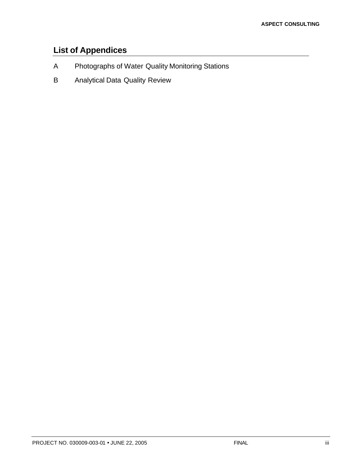## **List of Appendices**

- A Photographs of Water Quality Monitoring Stations
- B Analytical Data Quality Review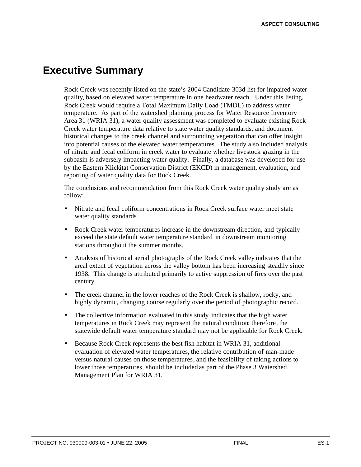## **Executive Summary**

Rock Creek was recently listed on the state's 2004 Candidate 303d list for impaired water quality, based on elevated water temperature in one headwater reach. Under this listing, Rock Creek would require a Total Maximum Daily Load (TMDL) to address water temperature. As part of the watershed planning process for Water Resource Inventory Area 31 (WRIA 31), a water quality assessment was completed to evaluate existing Rock Creek water temperature data relative to state water quality standards, and document historical changes to the creek channel and surrounding vegetation that can offer insight into potential causes of the elevated water temperatures. The study also included analysis of nitrate and fecal coliform in creek water to evaluate whether livestock grazing in the subbasin is adversely impacting water quality. Finally, a database was developed for use by the Eastern Klickitat Conservation District (EKCD) in management, evaluation, and reporting of water quality data for Rock Creek.

The conclusions and recommendation from this Rock Creek water quality study are as follow:

- Nitrate and fecal coliform concentrations in Rock Creek surface water meet state water quality standards.
- Rock Creek water temperatures increase in the downstream direction, and typically exceed the state default water temperature standard in downstream monitoring stations throughout the summer months.
- Analysis of historical aerial photographs of the Rock Creek valley indicates that the areal extent of vegetation across the valley bottom has been increasing steadily since 1938. This change is attributed primarily to active suppression of fires over the past century.
- The creek channel in the lower reaches of the Rock Creek is shallow, rocky, and highly dynamic, changing course regularly over the period of photographic record.
- The collective information evaluated in this study indicates that the high water temperatures in Rock Creek may represent the natural condition; therefore, the statewide default water temperature standard may not be applicable for Rock Creek.
- Because Rock Creek represents the best fish habitat in WRIA 31, additional evaluation of elevated water temperatures, the relative contribution of man-made versus natural causes on those temperatures, and the feasibility of taking actions to lower those temperatures, should be included as part of the Phase 3 Watershed Management Plan for WRIA 31.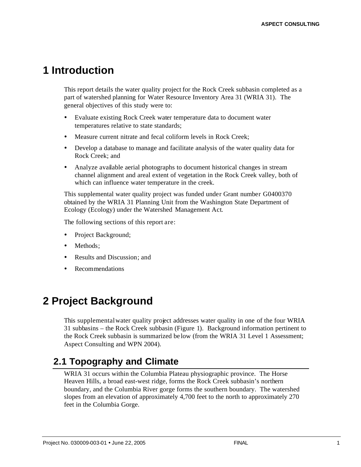## **1 Introduction**

This report details the water quality project for the Rock Creek subbasin completed as a part of watershed planning for Water Resource Inventory Area 31 (WRIA 31). The general objectives of this study were to:

- ü Evaluate existing Rock Creek water temperature data to document water temperatures relative to state standards;
- Measure current nitrate and fecal coliform levels in Rock Creek;
- ü Develop a database to manage and facilitate analysis of the water quality data for Rock Creek; and
- Analyze available aerial photographs to document historical changes in stream channel alignment and areal extent of vegetation in the Rock Creek valley, both of which can influence water temperature in the creek.

This supplemental water quality project was funded under Grant number G0400370 obtained by the WRIA 31 Planning Unit from the Washington State Department of Ecology (Ecology) under the Watershed Management Act.

The following sections of this report are:

- Project Background;
- Methods:
- Results and Discussion; and
- **Recommendations**

## **2 Project Background**

This supplemental water quality project addresses water quality in one of the four WRIA 31 subbasins – the Rock Creek subbasin (Figure 1). Background information pertinent to the Rock Creek subbasin is summarized be low (from the WRIA 31 Level 1 Assessment; Aspect Consulting and WPN 2004).

## **2.1 Topography and Climate**

WRIA 31 occurs within the Columbia Plateau physiographic province. The Horse Heaven Hills, a broad east-west ridge, forms the Rock Creek subbasin's northern boundary, and the Columbia River gorge forms the southern boundary. The watershed slopes from an elevation of approximately 4,700 feet to the north to approximately 270 feet in the Columbia Gorge.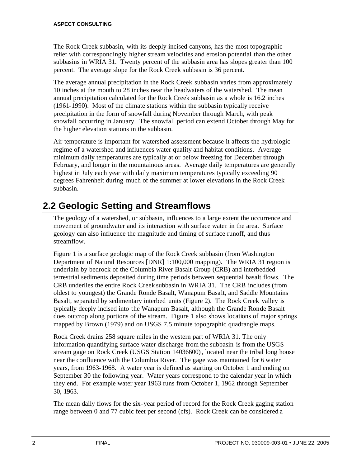The Rock Creek subbasin, with its deeply incised canyons, has the most topographic relief with correspondingly higher stream velocities and erosion potential than the other subbasins in WRIA 31. Twenty percent of the subbasin area has slopes greater than 100 percent. The average slope for the Rock Creek subbasin is 36 percent.

The average annual precipitation in the Rock Creek subbasin varies from approximately 10 inches at the mouth to 28 inches near the headwaters of the watershed. The mean annual precipitation calculated for the Rock Creek subbasin as a whole is 16.2 inches (1961-1990). Most of the climate stations within the subbasin typically receive precipitation in the form of snowfall during November through March, with peak snowfall occurring in January. The snowfall period can extend October through May for the higher elevation stations in the subbasin.

Air temperature is important for watershed assessment because it affects the hydrologic regime of a watershed and influences water quality and habitat conditions. Average minimum daily temperatures are typically at or below freezing for December through February, and longer in the mountainous areas. Average daily temperatures are generally highest in July each year with daily maximum temperatures typically exceeding 90 degrees Fahrenheit during much of the summer at lower elevations in the Rock Creek subbasin.

## **2.2 Geologic Setting and Streamflows**

The geology of a watershed, or subbasin, influences to a large extent the occurrence and movement of groundwater and its interaction with surface water in the area. Surface geology can also influence the magnitude and timing of surface runoff, and thus streamflow.

Figure 1 is a surface geologic map of the Rock Creek subbasin (from Washington Department of Natural Resources [DNR] 1:100,000 mapping). The WRIA 31 region is underlain by bedrock of the Columbia River Basalt Group (CRB) and interbedded terrestrial sediments deposited during time periods between sequential basalt flows. The CRB underlies the entire Rock Creek subbasin in WRIA 31. The CRB includes (from oldest to youngest) the Grande Ronde Basalt, Wanapum Basalt, and Saddle Mountains Basalt, separated by sedimentary interbed units (Figure 2). The Rock Creek valley is typically deeply incised into the Wanapum Basalt, although the Grande Ronde Basalt does outcrop along portions of the stream. Figure 1 also shows locations of major springs mapped by Brown (1979) and on USGS 7.5 minute topographic quadrangle maps.

Rock Creek drains 258 square miles in the western part of WRIA 31. The only information quantifying surface water discharge from the subbasin is from the USGS stream gage on Rock Creek (USGS Station 14036600), located near the tribal long house near the confluence with the Columbia River. The gage was maintained for 6 water years, from 1963-1968. A water year is defined as starting on October 1 and ending on September 30 the following year. Water years correspond to the calendar year in which they end. For example water year 1963 runs from October 1, 1962 through September 30, 1963.

The mean daily flows for the six-year period of record for the Rock Creek gaging station range between 0 and 77 cubic feet per second (cfs). Rock Creek can be considered a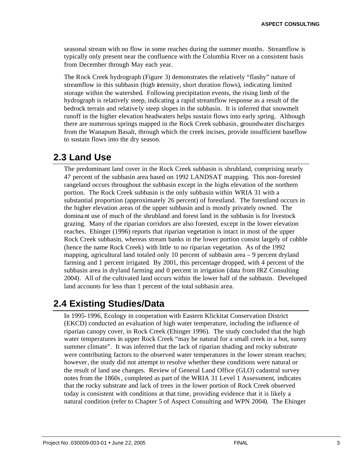seasonal stream with no flow in some reaches during the summer months. Streamflow is typically only present near the confluence with the Columbia River on a consistent basis from December through May each year.

The Rock Creek hydrograph (Figure 3) demonstrates the relatively "flashy" nature of streamflow in this subbasin (high intensity, short duration flows), indicating limited storage within the watershed. Following precipitation events, the rising limb of the hydrograph is relatively steep, indicating a rapid streamflow response as a result of the bedrock terrain and relative ly steep slopes in the subbasin. It is inferred that snowmelt runoff in the higher elevation headwaters helps sustain flows into early spring. Although there are numerous springs mapped in the Rock Creek subbasin, groundwater discharges from the Wanapum Basalt, through which the creek incises, provide insufficient baseflow to sustain flows into the dry season.

### **2.3 Land Use**

The predominant land cover in the Rock Creek subbasin is shrubland, comprising nearly 47 percent of the subbasin area based on 1992 LANDSAT mapping. This non-forested rangeland occurs throughout the subbasin except in the highs elevation of the northern portion. The Rock Creek subbasin is the only subbasin within WRIA 31 with a substantial proportion (approximately 26 percent) of forestland. The forestland occurs in the higher elevation areas of the upper subbasin and is mostly privately owned. The dominant use of much of the shrubland and forest land in the subbasin is for livestock grazing. Many of the riparian corridors are also forested, except in the lower elevation reaches. Ehinger (1996) reports that riparian vegetation is intact in most of the upper Rock Creek subbasin, whereas stream banks in the lower portion consist largely of cobble (hence the name Rock Creek) with little to no riparian vegetation. As of the 1992 mapping, agricultural land totaled only 10 percent of subbasin area  $-9$  percent dryland farming and 1 percent irrigated. By 2001, this percentage dropped, with 4 percent of the subbasin area in dryland farming and 0 percent in irrigation (data from IRZ Consulting 2004). All of the cultivated land occurs within the lower half of the subbasin. Developed land accounts for less than 1 percent of the total subbasin area.

### **2.4 Existing Studies/Data**

In 1995-1996, Ecology in cooperation with Eastern Klickitat Conservation District (EKCD) conducted an evaluation of high water temperature, including the influence of riparian canopy cover, in Rock Creek (Ehinger 1996). The study concluded that the high water temperatures in upper Rock Creek "may be natural for a small creek in a hot, sunny summer climate". It was inferred that the lack of riparian shading and rocky substrate were contributing factors to the observed water temperatures in the lower stream reaches; however, the study did not attempt to resolve whether these conditions were natural or the result of land use changes. Review of General Land Office (GLO) cadastral survey notes from the 1860s, completed as part of the WRIA 31 Level 1 Assessment, indicates that the rocky substrate and lack of trees in the lower portion of Rock Creek observed today is consistent with conditions at that time, providing evidence that it is likely a natural condition (refer to Chapter 5 of Aspect Consulting and WPN 2004). The Ehinger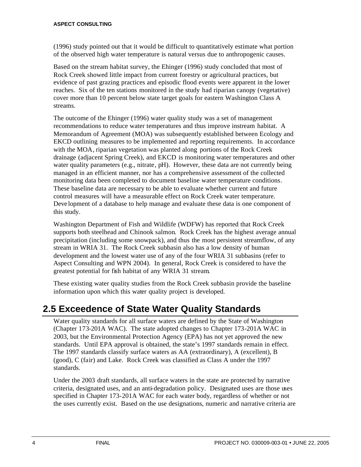(1996) study pointed out that it would be difficult to quantitatively estimate what portion of the observed high water temperature is natural versus due to anthropogenic causes.

Based on the stream habitat survey, the Ehinger (1996) study concluded that most of Rock Creek showed little impact from current forestry or agricultural practices, but evidence of past grazing practices and episodic flood events were apparent in the lower reaches. Six of the ten stations monitored in the study had riparian canopy (vegetative) cover more than 10 percent below state target goals for eastern Washington Class A streams.

The outcome of the Ehinger (1996) water quality study was a set of management recommendations to reduce water temperatures and thus improve instream habitat. A Memorandum of Agreement (MOA) was subsequently established between Ecology and EKCD outlining measures to be implemented and reporting requirements. In accordance with the MOA, riparian vegetation was planted along portions of the Rock Creek drainage (adjacent Spring Creek), and EKCD is monitoring water temperatures and other water quality parameters (e.g., nitrate, pH). However, these data are not currently being managed in an efficient manner, nor has a comprehensive assessment of the collected monitoring data been completed to document baseline water temperature conditions. These baseline data are necessary to be able to evaluate whether current and future control measures will have a measurable effect on Rock Creek water temperature. Deve lopment of a database to help manage and evaluate these data is one component of this study.

Washington Department of Fish and Wildlife (WDFW) has reported that Rock Creek supports both steelhead and Chinook salmon. Rock Creek has the highest average annual precipitation (including some snowpack), and thus the most persistent streamflow, of any stream in WRIA 31. The Rock Creek subbasin also has a low density of human development and the lowest water use of any of the four WRIA 31 subbasins (refer to Aspect Consulting and WPN 2004). In general, Rock Creek is considered to have the greatest potential for fish habitat of any WRIA 31 stream.

These existing water quality studies from the Rock Creek subbasin provide the baseline information upon which this water quality project is developed.

## **2.5 Exceedence of State Water Quality Standards**

Water quality standards for all surface waters are defined by the State of Washington (Chapter 173-201A WAC). The state adopted changes to Chapter 173-201A WAC in 2003, but the Environmental Protection Agency (EPA) has not yet approved the new standards. Until EPA approval is obtained, the state's 1997 standards remain in effect. The 1997 standards classify surface waters as AA (extraordinary), A (excellent), B (good), C (fair) and Lake. Rock Creek was classified as Class A under the 1997 standards.

Under the 2003 draft standards, all surface waters in the state are protected by narrative criteria, designated uses, and an anti-degradation policy. Designated uses are those uses specified in Chapter 173-201A WAC for each water body, regardless of whether or not the uses currently exist. Based on the use designations, numeric and narrative criteria are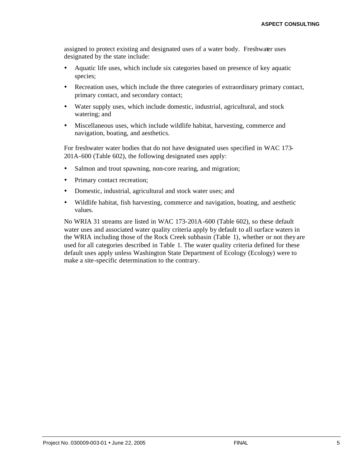assigned to protect existing and designated uses of a water body. Freshwater uses designated by the state include:

- ü Aquatic life uses, which include six categories based on presence of key aquatic species;
- ü Recreation uses, which include the three categories of extraordinary primary contact, primary contact, and secondary contact;
- ü Water supply uses, which include domestic, industrial, agricultural, and stock watering; and
- ü Miscellaneous uses, which include wildlife habitat, harvesting, commerce and navigation, boating, and aesthetics.

For freshwater water bodies that do not have designated uses specified in WAC 173- 201A-600 (Table 602), the following designated uses apply:

- Salmon and trout spawning, non-core rearing, and migration;
- Primary contact recreation;
- Domestic, industrial, agricultural and stock water uses; and
- ü Wildlife habitat, fish harvesting, commerce and navigation, boating, and aesthetic values.

No WRIA 31 streams are listed in WAC 173-201A-600 (Table 602), so these default water uses and associated water quality criteria apply by default to all surface waters in the WRIA including those of the Rock Creek subbasin (Table 1), whether or not they are used for all categories described in Table 1. The water quality criteria defined for these default uses apply unless Washington State Department of Ecology (Ecology) were to make a site-specific determination to the contrary.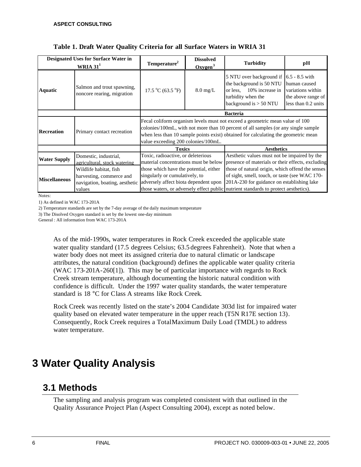|                                                 | Designated Uses for Surface Water in                                                           |                                                                                                                                                                                                                                                                                                 | <b>Dissolved</b>    |                                                                                                                                                                                                                                         |                                                                                |  |  |  |
|-------------------------------------------------|------------------------------------------------------------------------------------------------|-------------------------------------------------------------------------------------------------------------------------------------------------------------------------------------------------------------------------------------------------------------------------------------------------|---------------------|-----------------------------------------------------------------------------------------------------------------------------------------------------------------------------------------------------------------------------------------|--------------------------------------------------------------------------------|--|--|--|
|                                                 | WRIA $311$                                                                                     | Temperature <sup>2</sup>                                                                                                                                                                                                                                                                        | Oxveen <sup>3</sup> | <b>Turbidity</b>                                                                                                                                                                                                                        | pН                                                                             |  |  |  |
| <b>Aquatic</b>                                  | Salmon and trout spawning,<br>noncore rearing, migration                                       | 17.5 °C (63.5 °F)                                                                                                                                                                                                                                                                               | $8.0 \text{ mg/L}$  | 5 NTU over background if 16.5 - 8.5 with<br>the background is 50 NTU<br>10% increase in<br>or less.<br>turbidity when the<br>background is $> 50$ NTU                                                                                   | human caused<br>variations within<br>the above range of<br>less than 0.2 units |  |  |  |
|                                                 |                                                                                                |                                                                                                                                                                                                                                                                                                 |                     | <b>Bacteria</b>                                                                                                                                                                                                                         |                                                                                |  |  |  |
| <b>Recreation</b><br>Primary contact recreation |                                                                                                | Fecal coliform organism levels must not exceed a geometric mean value of 100<br>colonies/100mL, with not more than 10 percent of all samples (or any single sample<br>when less than 10 sample points exist) obtained for calculating the geometric mean<br>value exceeding 200 colonies/100mL. |                     |                                                                                                                                                                                                                                         |                                                                                |  |  |  |
|                                                 |                                                                                                | <b>Toxics</b>                                                                                                                                                                                                                                                                                   |                     | <b>Aesthetics</b>                                                                                                                                                                                                                       |                                                                                |  |  |  |
| <b>Water Supply</b>                             | Domestic, industrial,<br>agricultural, stock watering                                          | Toxic, radioactive, or deleterious<br>material concentrations must be below                                                                                                                                                                                                                     |                     | Aesthetic values must not be impaired by the<br>presence of materials or their effects, excluding                                                                                                                                       |                                                                                |  |  |  |
| <b>Miscellaneous</b>                            | Wildlife habitat, fish<br>harvesting, commerce and<br>navigation, boating, aesthetic<br>values | those which have the potential, either<br>singularly or cumulatively, to<br>adversely affect biota dependent upon                                                                                                                                                                               |                     | those of natural origin, which offend the senses<br>of sight, smell, touch, or taste (see WAC 170-<br>201A-230 for guidance on establishing lake<br>those waters, or adversely effect public nutrient standards to protect aesthetics). |                                                                                |  |  |  |

| Table 1. Draft Water Quality Criteria for all Surface Waters in WRIA 31 |  |  |  |  |
|-------------------------------------------------------------------------|--|--|--|--|
|-------------------------------------------------------------------------|--|--|--|--|

Notes:

1) As defined in WAC 173-201A

3) The Disolved Oxygen standard is set by the lowest one-day minimum

General : All information from WAC 173-201A

As of the mid-1990s, water temperatures in Rock Creek exceeded the applicable state water quality standard (17.5 degrees Celsius; 63.5 degrees Fahrenheit). Note that when a water body does not meet its assigned criteria due to natural climatic or landscape attributes, the natural condition (background) defines the applicable water quality criteria (WAC 173-201A-260[1]). This may be of particular importance with regards to Rock Creek stream temperature, although documenting the historic natural condition with confidence is difficult. Under the 1997 water quality standards, the water temperature standard is 18 °C for Class A streams like Rock Creek.

Rock Creek was recently listed on the state's 2004 Candidate 303d list for impaired water quality based on elevated water temperature in the upper reach (T5N R17E section 13). Consequently, Rock Creek requires a Total Maximum Daily Load (TMDL) to address water temperature.

## **3 Water Quality Analysis**

## **3.1 Methods**

The sampling and analysis program was completed consistent with that outlined in the Quality Assurance Project Plan (Aspect Consulting 2004), except as noted below.

<sup>2)</sup> Temperature standards are set by the 7-day average of the daily maximum temperature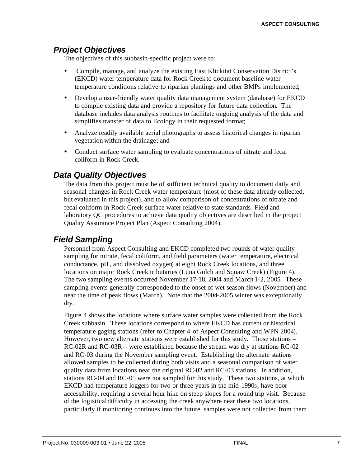### *Project Objectives*

The objectives of this subbasin-specific project were to:

- ü Compile, manage, and analyze the existing East Klickitat Conservation District's (EKCD) water temperature data for Rock Creek to document baseline water temperature conditions relative to riparian plantings and other BMPs implemented;
- Develop a user-friendly water quality data management system (database) for EKCD to compile existing data and provide a repository for future data collection. The database includes data analysis routines to facilitate ongoing analysis of the data and simplifies transfer of data to Ecology in their requested format;
- Analyze readily available aerial photographs to assess historical changes in riparian vegetation within the drainage; and
- ü Conduct surface water sampling to evaluate concentrations of nitrate and fecal coliform in Rock Creek.

### *Data Quality Objectives*

The data from this project must be of sufficient technical quality to document daily and seasonal changes in Rock Creek water temperature (most of these data already collected, but evaluated in this project), and to allow comparison of concentrations of nitrate and fecal coliform in Rock Creek surface water relative to state standards. Field and laboratory QC procedures to achieve data quality objectives are described in the project Quality Assurance Project Plan (Aspect Consulting 2004).

### *Field Sampling*

Personnel from Aspect Consulting and EKCD completed two rounds of water quality sampling for nitrate, fecal coliform, and field parameters (water temperature, electrical conductance, pH, and dissolved oxygen) at eight Rock Creek locations, and three locations on major Rock Creek tributaries (Luna Gulch and Squaw Creek) (Figure 4). The two sampling eve nts occurred November 17-18, 2004 and March 1-2, 2005. These sampling events generally corresponded to the onset of wet season flows (November) and near the time of peak flows (March). Note that the 2004-2005 winter was exceptionally dry.

Figure 4 shows the locations where surface water samples were collected from the Rock Creek subbasin. These locations correspond to where EKCD has current or historical temperature gaging stations (refer to Chapter 4 of Aspect Consulting and WPN 2004). However, two new alternate stations were established for this study. Those stations – RC-02R and RC-03R – were established because the stream was dry at stations RC-02 and RC-03 during the November sampling event. Establishing the alternate stations allowed samples to be collected during both visits and a seasonal comparison of water quality data from locations near the original RC-02 and RC-03 stations. In addition, stations RC-04 and RC-05 were not sampled for this study. These two stations, at which EKCD had temperature loggers for two or three years in the mid-1990s, have poor accessibility, requiring a several hour hike on steep slopes for a round trip visit. Because of the logistical difficulty in accessing the creek anywhere near these two locations, particularly if monitoring continues into the future, samples were not collected from them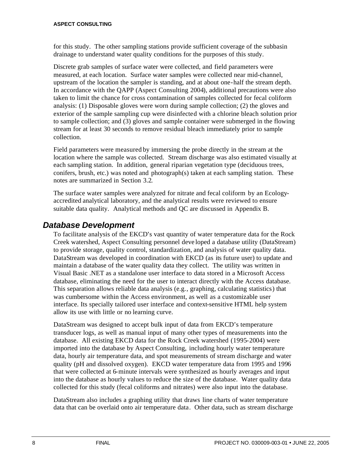for this study. The other sampling stations provide sufficient coverage of the subbasin drainage to understand water quality conditions for the purposes of this study.

Discrete grab samples of surface water were collected, and field parameters were measured, at each location. Surface water samples were collected near mid-channel, upstream of the location the sampler is standing, and at about one-half the stream depth. In accordance with the QAPP (Aspect Consulting 2004), additional precautions were also taken to limit the chance for cross contamination of samples collected for fecal coliform analysis: (1) Disposable gloves were worn during sample collection; (2) the gloves and exterior of the sample sampling cup were disinfected with a chlorine bleach solution prior to sample collection; and (3) gloves and sample container were submerged in the flowing stream for at least 30 seconds to remove residual bleach immediately prior to sample collection.

Field parameters were measured by immersing the probe directly in the stream at the location where the sample was collected. Stream discharge was also estimated visually at each sampling station. In addition, general riparian vegetation type (deciduous trees, conifers, brush, etc.) was noted and photograph(s) taken at each sampling station. These notes are summarized in Section 3.2.

The surface water samples were analyzed for nitrate and fecal coliform by an Ecologyaccredited analytical laboratory, and the analytical results were reviewed to ensure suitable data quality. Analytical methods and QC are discussed in Appendix B.

### *Database Development*

To facilitate analysis of the EKCD's vast quantity of water temperature data for the Rock Creek watershed, Aspect Consulting personnel deve loped a database utility (DataStream) to provide storage, quality control, standardization, and analysis of water quality data. DataStream was developed in coordination with EKCD (as its future user) to update and maintain a database of the water quality data they collect. The utility was written in Visual Basic .NET as a standalone user interface to data stored in a Microsoft Access database, eliminating the need for the user to interact directly with the Access database. This separation allows reliable data analysis (e.g., graphing, calculating statistics) that was cumbersome within the Access environment, as well as a customizable user interface. Its specially tailored user interface and context-sensitive HTML help system allow its use with little or no learning curve.

DataStream was designed to accept bulk input of data from EKCD's temperature transducer logs, as well as manual input of many other types of measurements into the database. All existing EKCD data for the Rock Creek watershed (1995-2004) were imported into the database by Aspect Consulting, including hourly water temperature data, hourly air temperature data, and spot measurements of stream discharge and water quality (pH and dissolved oxygen). EKCD water temperature data from 1995 and 1996 that were collected at 6-minute intervals were synthesized as hourly averages and input into the database as hourly values to reduce the size of the database. Water quality data collected for this study (fecal coliforms and nitrates) were also input into the database.

DataStream also includes a graphing utility that draws line charts of water temperature data that can be overlaid onto air temperature data. Other data, such as stream discharge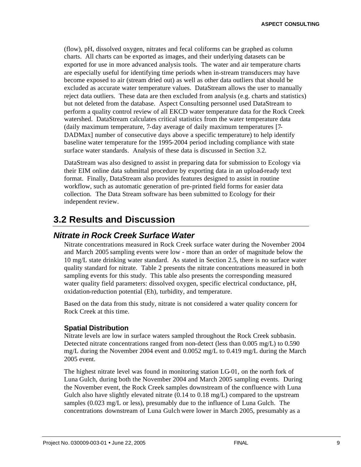(flow), pH, dissolved oxygen, nitrates and fecal coliforms can be graphed as column charts. All charts can be exported as images, and their underlying datasets can be exported for use in more advanced analysis tools. The water and air temperature charts are especially useful for identifying time periods when in-stream transducers may have become exposed to air (stream dried out) as well as other data outliers that should be excluded as accurate water temperature values. DataStream allows the user to manually reject data outliers. These data are then excluded from analysis (e.g. charts and statistics) but not deleted from the database. Aspect Consulting personnel used DataStream to perform a quality control review of all EKCD water temperature data for the Rock Creek watershed. DataStream calculates critical statistics from the water temperature data (daily maximum temperature, 7-day average of daily maximum temperatures [7- DADMax] number of consecutive days above a specific temperature) to help identify baseline water temperature for the 1995-2004 period including compliance with state surface water standards. Analysis of these data is discussed in Section 3.2.

DataStream was also designed to assist in preparing data for submission to Ecology via their EIM online data submittal procedure by exporting data in an upload-ready text format. Finally, DataStream also provides features designed to assist in routine workflow, such as automatic generation of pre-printed field forms for easier data collection. The Data Stream software has been submitted to Ecology for their independent review.

### **3.2 Results and Discussion**

#### *Nitrate in Rock Creek Surface Water*

Nitrate concentrations measured in Rock Creek surface water during the November 2004 and March 2005 sampling events were low - more than an order of magnitude below the 10 mg/L state drinking water standard. As stated in Section 2.5, there is no surface water quality standard for nitrate. Table 2 presents the nitrate concentrations measured in both sampling events for this study. This table also presents the corresponding measured water quality field parameters: dissolved oxygen, specific electrical conductance, pH, oxidation-reduction potential (Eh), turbidity, and temperature.

Based on the data from this study, nitrate is not considered a water quality concern for Rock Creek at this time.

#### **Spatial Distribution**

Nitrate levels are low in surface waters sampled throughout the Rock Creek subbasin. Detected nitrate concentrations ranged from non-detect (less than 0.005 mg/L) to 0.590 mg/L during the November 2004 event and 0.0052 mg/L to 0.419 mg/L during the March 2005 event.

The highest nitrate level was found in monitoring station LG-01, on the north fork of Luna Gulch, during both the November 2004 and March 2005 sampling events. During the November event, the Rock Creek samples downstream of the confluence with Luna Gulch also have slightly elevated nitrate  $(0.14 \text{ to } 0.18 \text{ mg/L})$  compared to the upstream samples (0.023 mg/L or less), presumably due to the influence of Luna Gulch. The concentrations downstream of Luna Gulch were lower in March 2005, presumably as a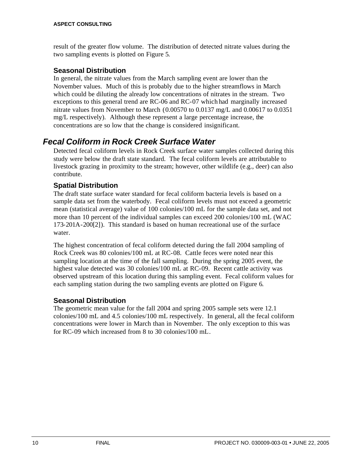result of the greater flow volume. The distribution of detected nitrate values during the two sampling events is plotted on Figure 5.

#### **Seasonal Distribution**

In general, the nitrate values from the March sampling event are lower than the November values. Much of this is probably due to the higher streamflows in March which could be diluting the already low concentrations of nitrates in the stream. Two exceptions to this general trend are RC-06 and RC-07 which had marginally increased nitrate values from November to March (0.00570 to 0.0137 mg/L and 0.00617 to 0.0351 mg/L respectively). Although these represent a large percentage increase, the concentrations are so low that the change is considered insignificant.

### *Fecal Coliform in Rock Creek Surface Water*

Detected fecal coliform levels in Rock Creek surface water samples collected during this study were below the draft state standard. The fecal coliform levels are attributable to livestock grazing in proximity to the stream; however, other wildlife (e.g., deer) can also contribute.

#### **Spatial Distribution**

The draft state surface water standard for fecal coliform bacteria levels is based on a sample data set from the waterbody. Fecal coliform levels must not exceed a geometric mean (statistical average) value of 100 colonies/100 mL for the sample data set, and not more than 10 percent of the individual samples can exceed 200 colonies/100 mL (WAC 173-201A-200[2]). This standard is based on human recreational use of the surface water.

The highest concentration of fecal coliform detected during the fall 2004 sampling of Rock Creek was 80 colonies/100 mL at RC-08. Cattle feces were noted near this sampling location at the time of the fall sampling. During the spring 2005 event, the highest value detected was 30 colonies/100 mL at RC-09. Recent cattle activity was observed upstream of this location during this sampling event. Fecal coliform values for each sampling station during the two sampling events are plotted on Figure 6.

#### **Seasonal Distribution**

The geometric mean value for the fall 2004 and spring 2005 sample sets were 12.1 colonies/100 mL and 4.5 colonies/100 mL respectively. In general, all the fecal coliform concentrations were lower in March than in November. The only exception to this was for RC-09 which increased from 8 to 30 colonies/100 mL.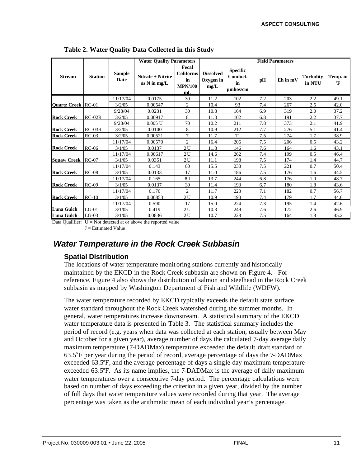|                           |                |                       | <b>Water Quality Parameters</b>   |                                                         |                                       |                                                    |     | <b>Field Parameters</b> | <b>Turbidity</b><br>in NTU<br>$\mathbf{F}$<br>2.2<br>2.5<br>2.0<br>2.2<br>2.1<br>5.1<br>1.7<br>0.5<br>43.1<br>1.6<br>0.5<br>1.4<br>0.7<br>1.6<br>1.0<br>1.8 |          |  |
|---------------------------|----------------|-----------------------|-----------------------------------|---------------------------------------------------------|---------------------------------------|----------------------------------------------------|-----|-------------------------|-------------------------------------------------------------------------------------------------------------------------------------------------------------|----------|--|
| <b>Stream</b>             | <b>Station</b> | <b>Sample</b><br>Date | Nitrate + Nitrite<br>as N in mg/L | Fecal<br><b>Coliforms</b><br>in<br><b>MPN/100</b><br>mL | <b>Dissolved</b><br>Oxygen in<br>mg/L | <b>Specific</b><br>Conduct.<br>in<br>$\mu$ mhos/cm | pН  | Eh in mV                |                                                                                                                                                             | Temp. in |  |
|                           |                | 11/17/04              | 0.0175                            | 30                                                      | 11.2                                  | 102                                                | 7.2 | 203                     |                                                                                                                                                             | 49.1     |  |
| <b>Ouartz Creek RC-01</b> |                | 3/2/05                | 0.00547                           | 2                                                       | 10.4                                  | 93                                                 | 7.4 | 267                     |                                                                                                                                                             | 42.0     |  |
|                           |                | 9/28/04               | 0.0231                            | 30                                                      | 10.8                                  | 164                                                | 6.9 | 319                     |                                                                                                                                                             | 37.2     |  |
| <b>Rock Creek</b>         | $RC-02R$       | 3/2/05                | 0.00917                           | 8                                                       | 11.3                                  | 102                                                | 6.8 | 191                     |                                                                                                                                                             | 37.7     |  |
|                           |                | 9/28/04               | 0.005 U                           | 70                                                      | 10.2                                  | 211                                                | 7.8 | 373                     |                                                                                                                                                             | 41.9     |  |
| <b>Rock Creek</b>         | $RC-03R$       | 3/2/05                | 0.0100                            | 8                                                       | 10.9                                  | 212                                                | 7.7 | 276                     |                                                                                                                                                             | 41.4     |  |
| <b>Rock Creek</b>         | $RC-03$        | 3/2/05                | 0.00521                           | 7                                                       | 11.7                                  | 71                                                 | 7.5 | 274                     |                                                                                                                                                             | 38.9     |  |
|                           |                | 11/17/04              | 0.00570                           | 2                                                       | 16.4                                  | 206                                                | 7.5 | 206                     |                                                                                                                                                             | 43.2     |  |
| <b>Rock Creek</b>         | $RC-06$        | 3/1/05                | 0.0137                            | 2U                                                      | 11.8                                  | 146                                                | 7.6 | 164                     |                                                                                                                                                             |          |  |
|                           |                | 11/17/04              | 0.00617                           | 2U                                                      | 14.6                                  | 262                                                | 7.4 | 199                     |                                                                                                                                                             | 46.4     |  |
| <b>Squaw Creek</b>        | $RC-07$        | 3/1/05                | 0.0351                            | 2U                                                      | 11.1                                  | 198                                                | 7.5 | 174                     |                                                                                                                                                             | 44.7     |  |
|                           |                | 11/17/04              | 0.143                             | 80                                                      | 15.5                                  | 238                                                | 7.5 | 221                     |                                                                                                                                                             | 50.4     |  |
| <b>Rock Creek</b>         | $RC-08$        | 3/1/05                | 0.0133                            | 17                                                      | 11.0                                  | 186                                                | 7.5 | 176                     |                                                                                                                                                             | 44.5     |  |
|                           |                | 11/17/04              | 0.165                             | 8 J                                                     | 13.7                                  | 244                                                | 6.8 | 176                     |                                                                                                                                                             | 48.7     |  |
| <b>Rock Creek</b>         | $RC-09$        | 3/1/05                | 0.0137                            | 30                                                      | 11.4                                  | 193                                                | 6.7 | 180                     |                                                                                                                                                             | 43.6     |  |
|                           |                | 11/17/04              | 0.176                             | $\overline{c}$                                          | 11.7                                  | 223                                                | 7.1 | 182                     | 0.7                                                                                                                                                         | 56.7     |  |
| <b>Rock Creek</b>         | $RC-10$        | 3/1/05                | 0.00853                           | 2U                                                      | 10.9                                  | 190                                                | 7.4 | 179                     | 1.7                                                                                                                                                         | 44.6     |  |
|                           |                | 11/17/04              | 0.590                             | 17                                                      | 15.0                                  | 224                                                | 7.3 | 195                     | 1.4                                                                                                                                                         | 42.6     |  |
| Luna Gulch                | $LG-01$        | 3/1/05                | 0.419                             | 2U                                                      | 10.3                                  | 249                                                | 7.6 | 172                     | 2.6                                                                                                                                                         | 46.9     |  |
| <b>Luna Gulch</b>         | $LG-03$        | 3/1/05                | 0.0836                            | 2U                                                      | 10.7                                  | 228                                                | 7.5 | 164                     | 1.8                                                                                                                                                         | 45.2     |  |

**Table 2. Water Quality Data Collected in this Study**

Data Qualifier:  $U = Not detected at or above the reported value$  $J =$  Estimated Value

### *Water Temperature in the Rock Creek Subbasin*

#### **Spatial Distribution**

The locations of water temperature monit oring stations currently and historically maintained by the EKCD in the Rock Creek subbasin are shown on Figure 4. For reference, Figure 4 also shows the distribution of salmon and steelhead in the Rock Creek subbasin as mapped by Washington Department of Fish and Wildlife (WDFW).

The water temperature recorded by EKCD typically exceeds the default state surface water standard throughout the Rock Creek watershed during the summer months. In general, water temperatures increase downstream. A statistical summary of the EKCD water temperature data is presented in Table 3. The statistical summary includes the period of record (e.g. years when data was collected at each station, usually between May and October for a given year), average number of days the calculated 7-day average daily maximum temperature (7-DADMax) temperature exceeded the default draft standard of 63.5°F per year during the period of record, average percentage of days the 7-DADMax exceeded 63.5°F, and the average percentage of days a single day maximum temperature exceeded 63.5°F. As its name implies, the 7-DADMax is the average of daily maximum water temperatures over a consecutive 7-day period. The percentage calculations were based on number of days exceeding the criterion in a given year, divided by the number of full days that water temperature values were recorded during that year. The average percentage was taken as the arithmetic mean of each individual year's percentage.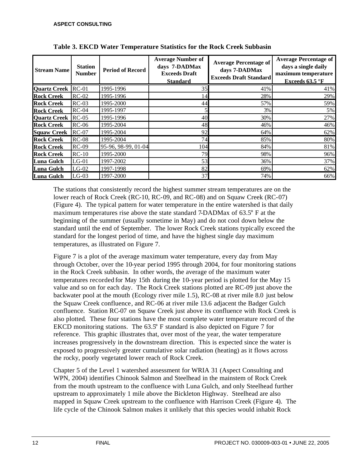| <b>Stream Name</b>  | <b>Station</b><br><b>Number</b> | <b>Period of Record</b> | <b>Average Number of</b><br>days 7-DADMax<br><b>Exceeds Draft</b><br><b>Standard</b> | <b>Average Percentage of</b><br>days 7-DADMax<br><b>Exceeds Draft Standard</b> | <b>Average Percentage of</b><br>days a single daily<br>maximum temperature<br>Exceeds 63.5 °F |
|---------------------|---------------------------------|-------------------------|--------------------------------------------------------------------------------------|--------------------------------------------------------------------------------|-----------------------------------------------------------------------------------------------|
| <b>Quartz Creek</b> | $RC-01$                         | 1995-1996               | 35                                                                                   | 41%                                                                            | 41%                                                                                           |
| <b>Rock Creek</b>   | $RC-02$                         | 1995-1996               | 14                                                                                   | 28%                                                                            | 29%                                                                                           |
| <b>Rock Creek</b>   | $RC-03$                         | 1995-2000               | 44                                                                                   | 57%                                                                            | 59%                                                                                           |
| <b>Rock Creek</b>   | $RC-04$                         | 1995-1997               |                                                                                      | 3%                                                                             | 5%                                                                                            |
| <b>Quartz Creek</b> | $RC-05$                         | 1995-1996               | 40                                                                                   | 30%                                                                            | 27%                                                                                           |
| <b>Rock Creek</b>   | $RC-06$                         | 1995-2004               | 48                                                                                   | 46%                                                                            | 46%                                                                                           |
| <b>Squaw Creek</b>  | $RC-07$                         | 1995-2004               | 92                                                                                   | 64%                                                                            | 62%                                                                                           |
| <b>Rock Creek</b>   | $RC-08$                         | 1995-2004               | 74                                                                                   | 85%                                                                            | 80%                                                                                           |
| <b>Rock Creek</b>   | $RC-09$                         | 95-96, 98-99, 01-04     | 104                                                                                  | 84%                                                                            | 81%                                                                                           |
| <b>Rock Creek</b>   | $RC-10$                         | 1995-2000               | 79                                                                                   | 98%                                                                            | 96%                                                                                           |
| <b>Luna Gulch</b>   | $LG-01$                         | 1997-2002               | 53                                                                                   | 36%                                                                            | 37%                                                                                           |
| Luna Gulch          | $LG-02$                         | 1997-1998               | 82                                                                                   | 69%                                                                            | 62%                                                                                           |
| <b>Luna Gulch</b>   | $LG-03$                         | 1997-2000               | 37                                                                                   | 74%                                                                            | 66%                                                                                           |

**Table 3. EKCD Water Temperature Statistics for the Rock Creek Subbasin** 

The stations that consistently record the highest summer stream temperatures are on the lower reach of Rock Creek (RC-10, RC-09, and RC-08) and on Squaw Creek (RC-07) (Figure 4). The typical pattern for water temperature in the entire watershed is that daily maximum temperatures rise above the state standard 7-DADMax of 63.5° F at the beginning of the summer (usually sometime in May) and do not cool down below the standard until the end of September. The lower Rock Creek stations typically exceed the standard for the longest period of time, and have the highest single day maximum temperatures, as illustrated on Figure 7.

Figure 7 is a plot of the average maximum water temperature, every day from May through October, over the 10-year period 1995 through 2004, for four monitoring stations in the Rock Creek subbasin. In other words, the average of the maximum water temperatures recorded for May 15th during the 10-year period is plotted for the May 15 value and so on for each day. The Rock Creek stations plotted are RC-09 just above the backwater pool at the mouth (Ecology river mile 1.5), RC-08 at river mile 8.0 just below the Squaw Creek confluence, and RC-06 at river mile 13.6 adjacent the Badger Gulch confluence. Station RC-07 on Squaw Creek just above its confluence with Rock Creek is also plotted. These four stations have the most complete water temperature record of the EKCD monitoring stations. The 63.5° F standard is also depicted on Figure 7 for reference. This graphic illustrates that, over most of the year, the water temperature increases progressively in the downstream direction. This is expected since the water is exposed to progressively greater cumulative solar radiation (heating) as it flows across the rocky, poorly vegetated lower reach of Rock Creek.

Chapter 5 of the Level 1 watershed assessment for WRIA 31 (Aspect Consulting and WPN, 2004) identifies Chinook Salmon and Steelhead in the mainstem of Rock Creek from the mouth upstream to the confluence with Luna Gulch, and only Steelhead further upstream to approximately 1 mile above the Bickleton Highway. Steelhead are also mapped in Squaw Creek upstream to the confluence with Harrison Creek (Figure 4). The life cycle of the Chinook Salmon makes it unlikely that this species would inhabit Rock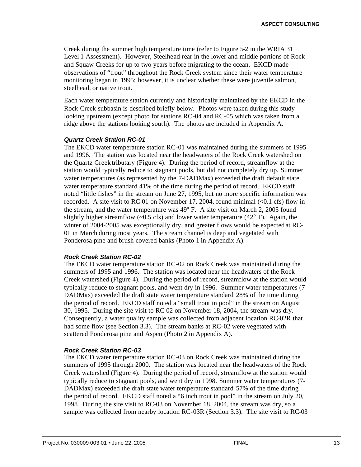Creek during the summer high temperature time (refer to Figure 5-2 in the WRIA 31 Level 1 Assessment). However, Steelhead rear in the lower and middle portions of Rock and Squaw Creeks for up to two years before migrating to the ocean. EKCD made observations of "trout" throughout the Rock Creek system since their water temperature monitoring began in 1995; however, it is unclear whether these were juvenile salmon, steelhead, or native trout.

Each water temperature station currently and historically maintained by the EKCD in the Rock Creek subbasin is described briefly below. Photos were taken during this study looking upstream (except photo for stations RC-04 and RC-05 which was taken from a ridge above the stations looking south). The photos are included in Appendix A.

#### *Quartz Creek Station RC-01*

The EKCD water temperature station RC-01 was maintained during the summers of 1995 and 1996. The station was located near the headwaters of the Rock Creek watershed on the Quartz Creek tributary (Figure 4). During the period of record, streamflow at the station would typically reduce to stagnant pools, but did not completely dry up. Summer water temperatures (as represented by the 7-DADMax) exceeded the draft default state water temperature standard 41% of the time during the period of record. EKCD staff noted "little fishes" in the stream on June 27, 1995, but no more specific information was recorded. A site visit to RC-01 on November 17, 2004, found minimal  $\langle$  <0.1 cfs) flow in the stream, and the water temperature was 49° F. A site visit on March 2, 2005 found slightly higher streamflow  $(-0.5 \text{ cfs})$  and lower water temperature  $(42^{\circ} \text{ F})$ . Again, the winter of 2004-2005 was exceptionally dry, and greater flows would be expected at RC-01 in March during most years. The stream channel is deep and vegetated with Ponderosa pine and brush covered banks (Photo 1 in Appendix A).

#### *Rock Creek Station RC-02*

The EKCD water temperature station RC-02 on Rock Creek was maintained during the summers of 1995 and 1996. The station was located near the headwaters of the Rock Creek watershed (Figure 4). During the period of record, streamflow at the station would typically reduce to stagnant pools, and went dry in 1996. Summer water temperatures (7- DADMax) exceeded the draft state water temperature standard 28% of the time during the period of record. EKCD staff noted a "small trout in pool" in the stream on August 30, 1995. During the site visit to RC-02 on November 18, 2004, the stream was dry. Consequently, a water quality sample was collected from adjacent location RC-02R that had some flow (see Section 3.3). The stream banks at RC-02 were vegetated with scattered Ponderosa pine and Aspen (Photo 2 in Appendix A).

#### *Rock Creek Station RC-03*

The EKCD water temperature station RC-03 on Rock Creek was maintained during the summers of 1995 through 2000. The station was located near the headwaters of the Rock Creek watershed (Figure 4). During the period of record, streamflow at the station would typically reduce to stagnant pools, and went dry in 1998. Summer water temperatures (7- DADMax) exceeded the draft state water temperature standard 57% of the time during the period of record. EKCD staff noted a "6 inch trout in pool" in the stream on July 20, 1998. During the site visit to RC-03 on November 18, 2004, the stream was dry, so a sample was collected from nearby location RC-03R (Section 3.3). The site visit to RC-03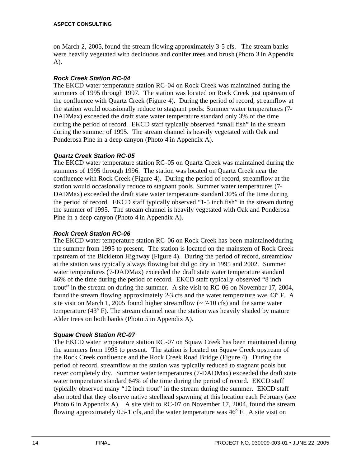on March 2, 2005, found the stream flowing approximately 3-5 cfs. The stream banks were heavily vegetated with deciduous and conifer trees and brush (Photo 3 in Appendix A).

#### *Rock Creek Station RC-04*

The EKCD water temperature station RC-04 on Rock Creek was maintained during the summers of 1995 through 1997. The station was located on Rock Creek just upstream of the confluence with Quartz Creek (Figure 4). During the period of record, streamflow at the station would occasionally reduce to stagnant pools. Summer water temperatures (7- DADMax) exceeded the draft state water temperature standard only 3% of the time during the period of record. EKCD staff typically observed "small fish" in the stream during the summer of 1995. The stream channel is heavily vegetated with Oak and Ponderosa Pine in a deep canyon (Photo 4 in Appendix A).

#### *Quartz Creek Station RC-05*

The EKCD water temperature station RC-05 on Quartz Creek was maintained during the summers of 1995 through 1996. The station was located on Quartz Creek near the confluence with Rock Creek (Figure 4). During the period of record, streamflow at the station would occasionally reduce to stagnant pools. Summer water temperatures (7- DADMax) exceeded the draft state water temperature standard 30% of the time during the period of record. EKCD staff typically observed "1-5 inch fish" in the stream during the summer of 1995. The stream channel is heavily vegetated with Oak and Ponderosa Pine in a deep canyon (Photo 4 in Appendix A).

#### *Rock Creek Station RC-06*

The EKCD water temperature station RC-06 on Rock Creek has been maintained during the summer from 1995 to present. The station is located on the mainstem of Rock Creek upstream of the Bickleton Highway (Figure 4). During the period of record, streamflow at the station was typically always flowing but did go dry in 1995 and 2002. Summer water temperatures (7-DADMax) exceeded the draft state water temperature standard 46% of the time during the period of record. EKCD staff typically observed "8 inch trout" in the stream on during the summer. A site visit to RC-06 on November 17, 2004, found the stream flowing approximately 2-3 cfs and the water temperature was 43° F. A site visit on March 1, 2005 found higher streamflow  $\sim$  7-10 cfs) and the same water temperature (43° F). The stream channel near the station was heavily shaded by mature Alder trees on both banks (Photo 5 in Appendix A).

#### *Squaw Creek Station RC-07*

The EKCD water temperature station RC-07 on Squaw Creek has been maintained during the summers from 1995 to present. The station is located on Squaw Creek upstream of the Rock Creek confluence and the Rock Creek Road Bridge (Figure 4). During the period of record, streamflow at the station was typically reduced to stagnant pools but never completely dry. Summer water temperatures (7-DADMax) exceeded the draft state water temperature standard 64% of the time during the period of record. EKCD staff typically observed many "12 inch trout" in the stream during the summer. EKCD staff also noted that they observe native steelhead spawning at this location each February (see Photo 6 in Appendix A). A site visit to RC-07 on November 17, 2004, found the stream flowing approximately 0.5-1 cfs, and the water temperature was 46° F. A site visit on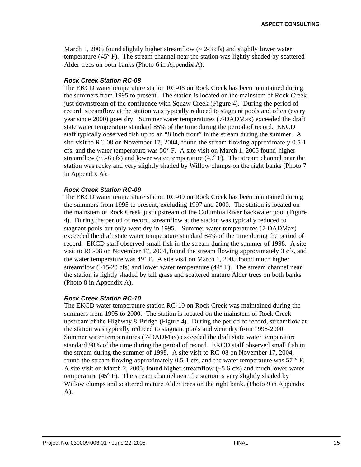March 1, 2005 found slightly higher streamflow  $\left(\sim 2.3 \text{ cfs}\right)$  and slightly lower water temperature (45° F). The stream channel near the station was lightly shaded by scattered Alder trees on both banks (Photo 6 in Appendix A).

#### *Rock Creek Station RC-08*

The EKCD water temperature station RC-08 on Rock Creek has been maintained during the summers from 1995 to present. The station is located on the mainstem of Rock Creek just downstream of the confluence with Squaw Creek (Figure 4). During the period of record, streamflow at the station was typically reduced to stagnant pools and often (every year since 2000) goes dry. Summer water temperatures (7-DADMax) exceeded the draft state water temperature standard 85% of the time during the period of record. EKCD staff typically observed fish up to an "8 inch trout" in the stream during the summer. A site visit to RC-08 on November 17, 2004, found the stream flowing approximately 0.5-1 cfs, and the water temperature was  $50^{\circ}$  F. A site visit on March 1, 2005 found higher streamflow ( $\sim$ 5-6 cfs) and lower water temperature (45 $\degree$  F). The stream channel near the station was rocky and very slightly shaded by Willow clumps on the right banks (Photo 7 in Appendix A).

#### *Rock Creek Station RC-09*

The EKCD water temperature station RC-09 on Rock Creek has been maintained during the summers from 1995 to present, excluding 1997 and 2000. The station is located on the mainstem of Rock Creek just upstream of the Columbia River backwater pool (Figure 4). During the period of record, streamflow at the station was typically reduced to stagnant pools but only went dry in 1995. Summer water temperatures (7-DADMax) exceeded the draft state water temperature standard 84% of the time during the period of record. EKCD staff observed small fish in the stream during the summer of 1998. A site visit to RC-08 on November 17, 2004, found the stream flowing approximately 3 cfs, and the water temperature was 49° F. A site visit on March 1, 2005 found much higher streamflow  $(\sim 15{\text -}20 \text{ cfs})$  and lower water temperature  $(44^{\circ} \text{ F})$ . The stream channel near the station is lightly shaded by tall grass and scattered mature Alder trees on both banks (Photo 8 in Appendix A).

#### *Rock Creek Station RC-10*

The EKCD water temperature station RC-10 on Rock Creek was maintained during the summers from 1995 to 2000. The station is located on the mainstem of Rock Creek upstream of the Highway 8 Bridge (Figure 4). During the period of record, streamflow at the station was typically reduced to stagnant pools and went dry from 1998-2000. Summer water temperatures (7-DADMax) exceeded the draft state water temperature standard 98% of the time during the period of record. EKCD staff observed small fish in the stream during the summer of 1998. A site visit to RC-08 on November 17, 2004, found the stream flowing approximately 0.5-1 cfs, and the water temperature was 57 ° F. A site visit on March 2, 2005, found higher streamflow  $(-5.6 \text{ cfs})$  and much lower water temperature (45° F). The stream channel near the station is very slightly shaded by Willow clumps and scattered mature Alder trees on the right bank. (Photo 9 in Appendix A).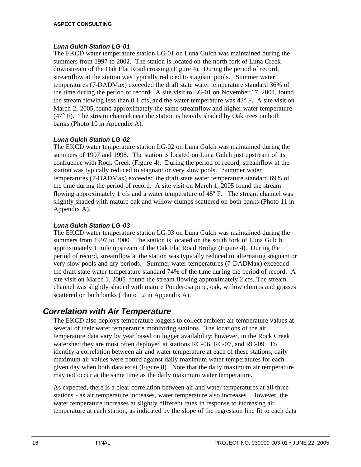#### *Luna Gulch Station LG-01*

The EKCD water temperature station LG-01 on Luna Gulch was maintained during the summers from 1997 to 2002. The station is located on the north fork of Luna Creek downstream of the Oak Flat Road crossing (Figure 4). During the period of record, streamflow at the station was typically reduced to stagnant pools. Summer water temperatures (7-DADMax) exceeded the draft state water temperature standard 36% of the time during the period of record. A site visit to LG-01 on November 17, 2004, found the stream flowing less than 0.1 cfs, and the water temperature was 43° F. A site visit on March 2, 2005, found approximately the same streamflow and higher water temperature (47° F). The stream channel near the station is heavily shaded by Oak trees on both banks (Photo 10 in Appendix A).

#### *Luna Gulch Station LG-02*

The EKCD water temperature station LG-02 on Luna Gulch was maintained during the summers of 1997 and 1998. The station is located on Luna Gulch just upstream of its confluence with Rock Creek (Figure 4). During the period of record, streamflow at the station was typically reduced to stagnant or very slow pools. Summer water temperatures (7-DADMax) exceeded the draft state water temperature standard 69% of the time during the period of record. A site visit on March 1, 2005 found the stream flowing approximately 1 cfs and a water temperature of 45° F. The stream channel was slightly shaded with mature oak and willow clumps scattered on both banks (Photo 11 in Appendix A).

#### *Luna Gulch Station LG-03*

The EKCD water temperature station LG-03 on Luna Gulch was maintained during the summers from 1997 to 2000. The station is located on the south fork of Luna Gulc h approximately 1 mile upstream of the Oak Flat Road Bridge (Figure 4). During the period of record, streamflow at the station was typically reduced to alternating stagnant or very slow pools and dry periods. Summer water temperatures (7-DADMax) exceeded the draft state water temperature standard 74% of the time during the period of record. A site visit on March 1, 2005, found the stream flowing approximately 2 cfs. The stream channel was slightly shaded with mature Ponderosa pine, oak, willow clumps and grasses scattered on both banks (Photo 12 in Appendix A).

#### *Correlation with Air Temperature*

The EKCD also deploys temperature loggers to collect ambient air temperature values at several of their water temperature monitoring stations. The locations of the air temperature data vary by year based on logger availability; however, in the Rock Creek watershed they are most often deployed at stations RC-06, RC-07, and RC-09. To identify a correlation between air and water temperature at each of these stations, daily maximum air values were potted against daily maximum water temperatures for each given day when both data exist (Figure 8). Note that the daily maximum air temperature may not occur at the same time as the daily maximum water temperature.

As expected, there is a clear correlation between air and water temperatures at all three stations - as air temperature increases, water temperature also increases. However, the water temperature increases at slightly different rates in response to increasing air temperature at each station, as indicated by the slope of the regression line fit to each data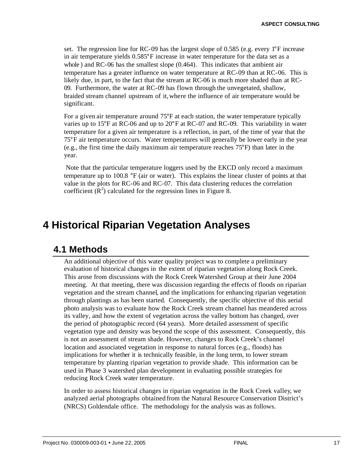set. The regression line for RC-09 has the largest slope of 0.585 (e.g. every 1°F increase in air temperature yields 0.585°F increase in water temperature for the data set as a whole ) and RC-06 has the smallest slope (0.464). This indicates that ambient air temperature has a greater influence on water temperature at RC-09 than at RC-06. This is likely due, in part, to the fact that the stream at RC-06 is much more shaded than at RC-09. Furthermore, the water at RC-09 has flown through the unvegetated, shallow, braided stream channel upstream of it, where the influence of air temperature would be significant.

For a given air temperature around 75°F at each station, the water temperature typically varies up to 15°F at RC-06 and up to 20°F at RC-07 and RC-09. This variability in water temperature for a given air temperature is a reflection, in part, of the time of year that the 75°F air temperature occurs. Water temperatures will generally be lower early in the year (e.g., the first time the daily maximum air temperature reaches 75°F) than later in the year.

Note that the particular temperature loggers used by the EKCD only record a maximum temperature up to 100.8 °F (air or water). This explains the linear cluster of points at that value in the plots for RC-06 and RC-07. This data clustering reduces the correlation coefficient  $(R^2)$  calculated for the regression lines in Figure 8.

## **4 Historical Riparian Vegetation Analyses**

### **4.1 Methods**

An additional objective of this water quality project was to complete a preliminary evaluation of historical changes in the extent of riparian vegetation along Rock Creek. This arose from discussions with the Rock Creek Watershed Group at their June 2004 meeting. At that meeting, there was discussion regarding the effects of floods on riparian vegetation and the stream channel, and the implications for enhancing riparian vegetation through plantings as has been started. Consequently, the specific objective of this aerial photo analysis was to evaluate how the Rock Creek stream channel has meandered across its valley, and how the extent of vegetation across the valley bottom has changed, over the period of photographic record (64 years). More detailed assessment of specific vegetation type and density was beyond the scope of this assessment. Consequently, this is not an assessment of stream shade. However, changes to Rock Creek's channel location and associated vegetation in response to natural forces (e.g., floods) has implications for whether it is technically feasible, in the long term, to lower stream temperature by planting riparian vegetation to provide shade. This information can be used in Phase 3 watershed plan development in evaluating possible strategies for reducing Rock Creek water temperature.

In order to assess historical changes in riparian vegetation in the Rock Creek valley, we analyzed aerial photographs obtained from the Natural Resource Conservation District's (NRCS) Goldendale office. The methodology for the analysis was as follows.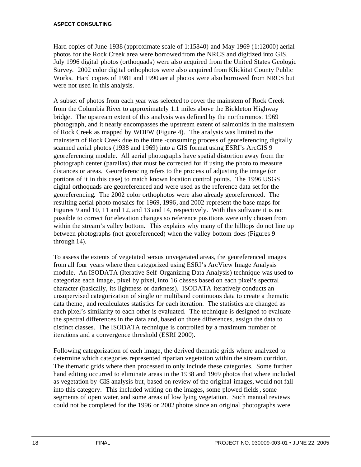Hard copies of June 1938 (approximate scale of 1:15840) and May 1969 (1:12000) aerial photos for the Rock Creek area were borrowed from the NRCS and digitized into GIS. July 1996 digital photos (orthoquads) were also acquired from the United States Geologic Survey. 2002 color digital orthophotos were also acquired from Klickitat County Public Works. Hard copies of 1981 and 1990 aerial photos were also borrowed from NRCS but were not used in this analysis.

A subset of photos from each year was selected to cover the mainstem of Rock Creek from the Columbia River to approximately 1.1 miles above the Bickleton Highway bridge. The upstream extent of this analysis was defined by the northernmost 1969 photograph, and it nearly encompasses the upstream extent of salmonids in the mainstem of Rock Creek as mapped by WDFW (Figure 4). The analysis was limited to the mainstem of Rock Creek due to the time -consuming process of georeferencing digitally scanned aerial photos (1938 and 1969) into a GIS format using ESRI's ArcGIS 9 georeferencing module. All aerial photographs have spatial distortion away from the photograph center (parallax) that must be corrected for if using the photo to measure distances or areas. Georeferencing refers to the process of adjusting the image (or portions of it in this case) to match known location control points. The 1996 USGS digital orthoquads are georeferenced and were used as the reference data set for the georeferencing. The 2002 color orthophotos were also already georeferenced. The resulting aerial photo mosaics for 1969, 1996, and 2002 represent the base maps for Figures 9 and 10, 11 and 12, and 13 and 14, respectively. With this software it is not possible to correct for elevation changes so reference positions were only chosen from within the stream's valley bottom. This explains why many of the hilltops do not line up between photographs (not georeferenced) when the valley bottom does (Figures 9 through 14).

To assess the extents of vegetated versus unvegetated areas, the georeferenced images from all four years where then categorized using ESRI's ArcView Image Analysis module. An ISODATA (Iterative Self-Organizing Data Analysis) technique was used to categorize each image, pixel by pixel, into 16 classes based on each pixel's spectral character (basically, its lightness or darkness). ISODATA iteratively conducts an unsupervised categorization of single or multiband continuous data to create a thematic data theme , and recalculates statistics for each iteration. The statistics are changed as each pixel's similarity to each other is evaluated. The technique is designed to evaluate the spectral differences in the data and, based on those differences, assign the data to distinct classes. The ISODATA technique is controlled by a maximum number of iterations and a convergence threshold (ESRI 2000).

Following categorization of each image, the derived thematic grids where analyzed to determine which categories represented riparian vegetation within the stream corridor. The thematic grids where then processed to only include these categories. Some further hand editing occurred to eliminate areas in the 1938 and 1969 photos that where included as vegetation by GIS analysis but, based on review of the original images, would not fall into this category. This included writing on the images, some plowed fields, some segments of open water, and some areas of low lying vegetation. Such manual reviews could not be completed for the 1996 or 2002 photos since an original photographs were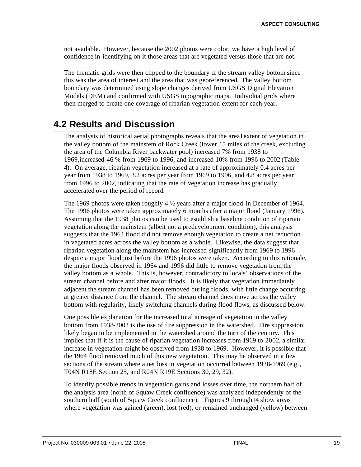not available. However, because the 2002 photos were color, we have a high level of confidence in identifying on it those areas that are vegetated versus those that are not.

The thematic grids were then clipped to the boundary of the stream valley bottom since this was the area of interest and the area that was georeferenced. The valley bottom boundary was determined using slope changes derived from USGS Digital Elevation Models (DEM) and confirmed with USGS topographic maps. Individual grids where then merged to create one coverage of riparian vegetation extent for each year.

### **4.2 Results and Discussion**

The analysis of historical aerial photographs reveals that the areal extent of vegetation in the valley bottom of the mainstem of Rock Creek (lower 15 miles of the creek, excluding the area of the Columbia River backwater pool) increased 7% from 1938 to 1969,increased 46 % from 1969 to 1996, and increased 10% from 1996 to 2002 (Table 4). On average, riparian vegetation increased at a rate of approximately 0.4 acres per year from 1938 to 1969, 3.2 acres per year from 1969 to 1996, and 4.8 acres per year from 1996 to 2002, indicating that the rate of vegetation increase has gradually accelerated over the period of record.

The 1969 photos were taken roughly  $4\frac{1}{2}$  years after a major flood in December of 1964. The 1996 photos were taken approximately 6 months after a major flood (January 1996). Assuming that the 1938 photos can be used to establish a baseline condition of riparian vegetation along the mainstem (albeit not a predevelopment condition), this analysis suggests that the 1964 flood did not remove enough vegetation to create a net reduction in vegetated acres across the valley bottom as a whole. Likewise, the data suggest that riparian vegetation along the mainstem has increased significantly from 1969 to 1996 despite a major flood just before the 1996 photos were taken. According to this rationale, the major floods observed in 1964 and 1996 did little to remove vegetation from the valley bottom as a whole. This is, however, contradictory to locals' observations of the stream channel before and after major floods. It is likely that vegetation immediately adjacent the stream channel has been removed during floods, with little change occurring at greater distance from the channel. The stream channel does move across the valley bottom with regularity, likely switching channels during flood flows, as discussed below.

One possible explanation for the increased total acreage of vegetation in the valley bottom from 1938-2002 is the use of fire suppression in the watershed. Fire suppression likely began to be implemented in the watershed around the turn of the century. This implies that if it is the cause of riparian vegetation increases from 1969 to 2002, a similar increase in vegetation might be observed from 1938 to 1969. However, it is possible that the 1964 flood removed much of this new vegetation. This may be observed in a few sections of the stream where a net loss in vegetation occurred between 1938-1969 (e.g., T04N R18E Section 25, and R04N R19E Sections 30, 29, 32).

To identify possible trends in vegetation gains and losses over time, the northern half of the analysis area (north of Squaw Creek confluence) was analy zed independently of the southern half (south of Squaw Creek confluence). Figures 9 through14 show areas where vegetation was gained (green), lost (red), or remained unchanged (yellow) between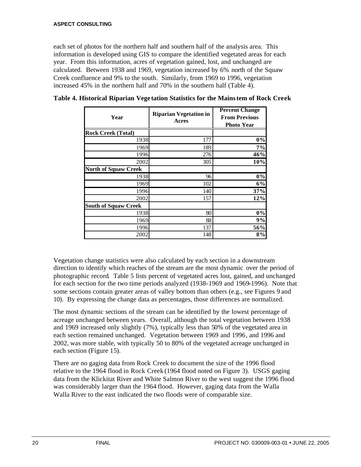each set of photos for the northern half and southern half of the analysis area. This information is developed using GIS to compare the identified vegetated areas for each year. From this information, acres of vegetation gained, lost, and unchanged are calculated. Between 1938 and 1969, vegetation increased by 6% north of the Squaw Creek confluence and 9% to the south. Similarly, from 1969 to 1996, vegetation increased 45% in the northern half and 70% in the southern half (Table 4).

| Year                        | <b>Riparian Vegetation in</b><br>Acres | <b>Percent Change</b><br><b>From Previous</b><br><b>Photo Year</b> |  |  |
|-----------------------------|----------------------------------------|--------------------------------------------------------------------|--|--|
| <b>Rock Creek (Total)</b>   |                                        |                                                                    |  |  |
| 1938                        | 177                                    | 0%                                                                 |  |  |
| 1969                        | 189                                    | 7%                                                                 |  |  |
| 1996                        | 276                                    | 46%                                                                |  |  |
| 2002                        | 305                                    | 10%                                                                |  |  |
| <b>North of Squaw Creek</b> |                                        |                                                                    |  |  |
| 1938                        | 96                                     | 0%                                                                 |  |  |
| 1969                        | 102                                    | 6%                                                                 |  |  |
| 1996                        | 140                                    | 37%                                                                |  |  |
| 2002                        | 157                                    | 12%                                                                |  |  |
| <b>South of Squaw Creek</b> |                                        |                                                                    |  |  |
| 1938                        | 80                                     | 0%                                                                 |  |  |
| 1969                        | 88                                     | 9%                                                                 |  |  |
| 1996                        | 137                                    | 56%                                                                |  |  |
| 2002                        | 148                                    | 8%                                                                 |  |  |

**Table 4. Historical Riparian Vege tation Statistics for the Mainstem of Rock Creek** 

Vegetation change statistics were also calculated by each section in a downstream direction to identify which reaches of the stream are the most dynamic over the period of photographic record. Table 5 lists percent of vegetated acres lost, gained, and unchanged for each section for the two time periods analyzed (1938-1969 and 1969-1996). Note that some sections contain greater areas of valley bottom than others (e.g., see Figures 9 and 10). By expressing the change data as percentages, those differences are normalized.

The most dynamic sections of the stream can be identified by the lowest percentage of acreage unchanged between years. Overall, although the total vegetation between 1938 and 1969 increased only slightly (7%), typically less than 50% of the vegetated area in each section remained unchanged. Vegetation between 1969 and 1996, and 1996 and 2002, was more stable, with typically 50 to 80% of the vegetated acreage unchanged in each section (Figure 15).

There are no gaging data from Rock Creek to document the size of the 1996 flood relative to the 1964 flood in Rock Creek (1964 flood noted on Figure 3). USGS gaging data from the Klickitat River and White Salmon River to the west suggest the 1996 flood was considerably larger than the 1964 flood. However, gaging data from the Walla Walla River to the east indicated the two floods were of comparable size.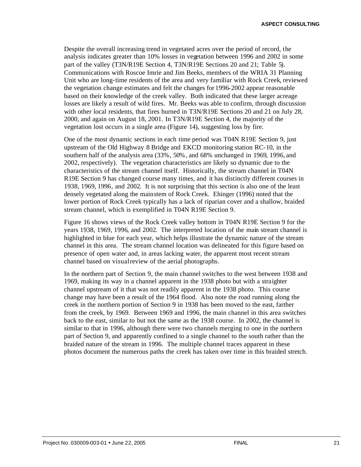Despite the overall increasing trend in vegetated acres over the period of record, the analysis indicates greater than 10% losses in vegetation between 1996 and 2002 in some part of the valley (T3N/R19E Section 4, T3N/R19E Sections 20 and 21; Table 5). Communications with Roscoe Imrie and Jim Beeks, members of the WRIA 31 Planning Unit who are long-time residents of the area and very familiar with Rock Creek, reviewed the vegetation change estimates and felt the changes for 1996-2002 appear reasonable based on their knowledge of the creek valley. Both indicated that these larger acreage losses are likely a result of wild fires. Mr. Beeks was able to confirm, through discussion with other local residents, that fires burned in T3N/R19E Sections 20 and 21 on July 28, 2000, and again on August 18, 2001. In T3N/R19E Section 4, the majority of the vegetation lost occurs in a single area (Figure 14), suggesting loss by fire.

One of the most dynamic sections in each time period was T04N R19E Section 9, just upstream of the Old Highway 8 Bridge and EKCD monitoring station RC-10, in the southern half of the analysis area (33%, 50%, and 68% unchanged in 1969, 1996, and 2002, respectively). The vegetation characteristics are likely so dynamic due to the characteristics of the stream channel itself. Historically, the stream channel in T04N R19E Section 9 has changed course many times, and it has distinctly different courses in 1938, 1969, 1996, and 2002. It is not surprising that this section is also one of the least densely vegetated along the mainstem of Rock Creek. Ehinger (1996) noted that the lower portion of Rock Creek typically has a lack of riparian cover and a shallow, braided stream channel, which is exemplified in T04N R19E Section 9.

Figure 16 shows views of the Rock Creek valley bottom in T04N R19E Section 9 for the years 1938, 1969, 1996, and 2002. The interpreted location of the main stream channel is highlighted in blue for each year, which helps illustrate the dynamic nature of the stream channel in this area. The stream channel location was delineated for this figure based on presence of open water and, in areas lacking water, the apparent most recent stream channel based on visual review of the aerial photographs.

In the northern part of Section 9, the main channel switches to the west between 1938 and 1969, making its way in a channel apparent in the 1938 photo but with a straighter channel upstream of it that was not readily apparent in the 1938 photo. This course change may have been a result of the 1964 flood. Also note the road running along the creek in the northern portion of Section 9 in 1938 has been moved to the east, farther from the creek, by 1969. Between 1969 and 1996, the main channel in this area switches back to the east, similar to but not the same as the 1938 course. In 2002, the channel is similar to that in 1996, although there were two channels merging to one in the northern part of Section 9, and apparently confined to a single channel to the south rather than the braided nature of the stream in 1996. The multiple channel traces apparent in these photos document the numerous paths the creek has taken over time in this braided stretch.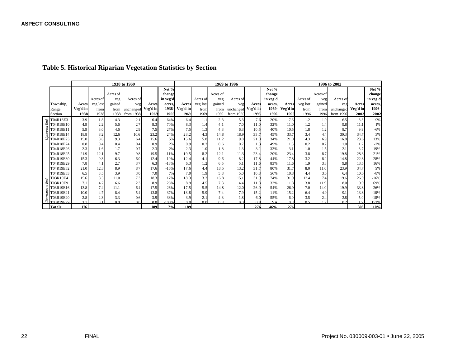#### **Table 5. Historical Riparian Vegetation Statistics by Section**

|            |           | 1938 to 1969 |          |                |                |                |          | 1969 to 1996   |                |          |                |          |                | 1996 to 2002 |                |          |           |          |          |
|------------|-----------|--------------|----------|----------------|----------------|----------------|----------|----------------|----------------|----------|----------------|----------|----------------|--------------|----------------|----------|-----------|----------|----------|
|            |           |              |          |                |                |                | Net %    |                |                |          |                |          | Net %          |              |                |          |           |          | Net %    |
|            |           |              |          | Acres of       |                |                | change   |                |                | Acres of |                |          | change         |              |                | Acres of |           |          | change   |
|            |           |              | Acres of | veg            | Acres of       |                | in veg'd |                | Acres of       | veg      | Acres of       |          | in veg'd       |              | Acres of       | veg      | Acres of  |          | in veg'd |
|            | Township, | Acres        | veg lost | gained         | veg            | Acres          | acres,   | Acres          | veg lost       | gained   | veg            | Acres    | acres.         | Acres        | veg lost       | gained   | veg       | Acres    | acres.   |
|            | Range,    | Veg'd in     | from     | from           | unchanged      | Veg'd in       | 1938-    | Veg'd in       | from           | from     | unchanged      | Veg'd in | 1969           | Veg'd in     | from           | from     | unchanged | Veg'd in | 1996-    |
|            | Section   | 1938         | 1938     | 1938           | from 1938      | 1969           | 1969     | 1969           | 1969           | 1969     | from 1969      | 1996     | 1996           | 1996         | 1996           | 1996     | from 1996 | 2002     | 2002     |
| End        | T04R18E3  | 3.9          | 1.8      | 4.3            | 2.1            | 6.4            | 64%      | 6.4            | 1.1            | 2.3      | 5.3            | 7.6      | 20%            | 7.6          | 1.2            | 1.9      | 6.5       | 8.3      | 9%       |
|            | T04R18E10 | 4.9          | 2.2      | 5.6            | 2.7            | 8.3            | 70%      | 8.3            | 1.4            | 4.1      | 7.0            | 11.0     | 32%            | 11.0         | 1.2            | 1.4      | 9.8       | 11.1     | 1%       |
| Upstream   | T04R18E11 | 5.9          | 3.0      | 4.6            | 2.9            | 7.5            | 27%      | 7.5            | 1.3            | 4.3      | 6.3            | 10.5     | 40%            | 10.5         | 1.8            | 1.2      | 8.7       | 9.9      | $-6%$    |
|            | T04R18E14 | 18.8         | 8.2      | 12.6           | 10.6           | 23.2           | 24%      | 23.2           | 4.3            | 14.8     | 18.9           | 33.7     | 45%            | 33.7         | 3.4            | 4.4      | 30.3      | 34.7     | 3%       |
|            | T04R18E23 | 15.0         | 8.6      | 9.3            | 6.4            | 15.6           | 5%       | 15.6           | 5.8            | 11.2     | 9.8            | 21.0     | 34%            | 21.0         | 4.3            | 6.9      | 16.8      | 23.6     | 13%      |
|            | T04R18E24 | 0.8          | 0.4      | 0.4            | 0.4            | 0.9            | 2%       | 0.9            | 0.2            | 0.6      | 0.7            | 1.3      | 49%            | 1.3          | 0.2            | 0.2      | 1.0       | 1.2      | $-2%$    |
|            | T04R18E26 | 2.3          | 1.6      | 1.7            | 0.7            | 2.3            | 2%       | 2.3            | 1.0            | 1.8      | 1.3            | 3.1      | 33%            | 3.1          | 1.0            | 1.5      | 2.1       | 3.7      | 19%      |
|            | T04R18E25 | 21.9         | 12.1     | 9.7            | 9.8            | 19.5           | $-11%$   | 19.5           | 8.2            | 12.1     | 11.3           | 23.4     | 20%            | 23.4         | 3.8            | 8.7      | 19.8      | 28.3     | 21%      |
|            | T04R19E30 | 15.3         | 9.3      | 6.3            | 6.0            | 12.4           | $-19%$   | 12.4           | 4.1            | 9.6      | 8.2            | 17.8     | 44%            | 17.8         | 3.2            | 8.2      | 14.8      | 22.8     | 28%      |
|            | T04R19E29 | 7.8          | 4.1      | 2.7            | 3.7            | 6.3            | $-18%$   | 6.3            | 1.2            | 6.5      | 5.1            | 11.6     | 83%            | 11.6         | 1.9            | 3.8      | 9.8       | 13.5     | 16%      |
|            | T04R19E32 | 21.0         | 12.3     | 8.9            | 8.7            | 17.6           | $-16%$   | 17.6           | 4.4            | 18.5     | 13.2           | 31.7     | 80%            | 31.7         | 8.0            | 11.0     | 23.9      | 34.7     | 9%       |
|            | T04R19E33 | 6.5          | 3.5      | 3.9            | 3.0            | 7.0            | 7%       | 7.0            | 1.9            | 5.8      | 5.0            | 10.8     | 56%            | 10.8         | 4.4            | 3.6      | 6.4       | 10.0     | $-8%$    |
|            | T03R19E4  | 15.6         | 8.3      | 11.0           | 7.3            | 18.3           | 17%      | 18.3           | 3.2            | 16.8     | 15.1           | 31.9     | 74%            | 31.9         | 12.4           | 7.4      | 19.6      | 26.9     | $-16%$   |
| End        | T03R19E9  | 7.1          | 4.7      | 6.6            | 2.3            | 8.9            | 26%      | 8.9            | 4.5            | 7.3      | 4.4            | 11.8     | 32%            | 11.8         | 3.8            | 11.9     | 8.0       | 19.9     | 69%      |
|            | T03R19E16 | 13.8         | 7.4      | 11.1           | 6.4            | 17.5           | 26%      | 17.5           | 5.5            | 14.8     | 12.0           | 26.9     | 54%            | 26.9         | 7.0            | 14.0     | 19.9      | 33.8     | 26%      |
|            | T03R19E21 | 10.0         | 4.7      | 8.4            | 5.4            | 13.8           | 37%      | 13.8           | 5.9            | 7.4      | 7.9            | 15.2     | 11%            | 15.2         | 6.4            | 4.9      | 9.1       | 13.8     | $-10%$   |
| Downstream | T03R19E20 | 2.8          | 2.3      | 3.3            | 0.6            | 3.9            | 38%      | 3.9            | 2.1            | 4.3      | 1.8            | 6.0      | 55%            | 6.0          | 3.5            | 2.4      | 2.8       | 5.0      | $-18%$   |
|            | T03R19E29 | 31           | 31       | 0 <sub>0</sub> | 0 <sub>0</sub> | 0 <sub>0</sub> | .100%    | 0 <sub>0</sub> | 0 <sub>0</sub> | 0.8      | 0 <sub>0</sub> | 0.8      | N <sub>A</sub> | 0.8          | 0 <sup>5</sup> | 17       | 02        | 1Q       | 152%     |
|            | Totals:   | 176          |          |                |                | 189            | 7%       | 189            |                |          |                | 276      | 46%            | 276          |                |          |           | 303      | 10%      |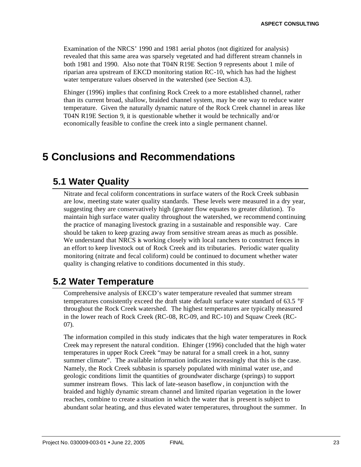Examination of the NRCS' 1990 and 1981 aerial photos (not digitized for analysis) revealed that this same area was sparsely vegetated and had different stream channels in both 1981 and 1990. Also note that T04N R19E Section 9 represents about 1 mile of riparian area upstream of EKCD monitoring station RC-10, which has had the highest water temperature values observed in the watershed (see Section 4.3).

Ehinger (1996) implies that confining Rock Creek to a more established channel, rather than its current broad, shallow, braided channel system, may be one way to reduce water temperature. Given the naturally dynamic nature of the Rock Creek channel in areas like T04N R19E Section 9, it is questionable whether it would be technically and/or economically feasible to confine the creek into a single permanent channel.

## **5 Conclusions and Recommendations**

### **5.1 Water Quality**

Nitrate and fecal coliform concentrations in surface waters of the Rock Creek subbasin are low, meeting state water quality standards. These levels were measured in a dry year, suggesting they are conservatively high (greater flow equates to greater dilution). To maintain high surface water quality throughout the watershed, we recommend continuing the practice of managing livestock grazing in a sustainable and responsible way. Care should be taken to keep grazing away from sensitive stream areas as much as possible. We understand that NRCS is working closely with local ranchers to construct fences in an effort to keep livestock out of Rock Creek and its tributaries. Periodic water quality monitoring (nitrate and fecal coliform) could be continued to document whether water quality is changing relative to conditions documented in this study.

## **5.2 Water Temperature**

Comprehensive analysis of EKCD's water temperature revealed that summer stream temperatures consistently exceed the draft state default surface water standard of 63.5 °F throughout the Rock Creek watershed. The highest temperatures are typically measured in the lower reach of Rock Creek (RC-08, RC-09, and RC-10) and Squaw Creek (RC-07).

The information compiled in this study indicates that the high water temperatures in Rock Creek may represent the natural condition. Ehinger (1996) concluded that the high water temperatures in upper Rock Creek "may be natural for a small creek in a hot, sunny summer climate". The available information indicates increasingly that this is the case. Namely, the Rock Creek subbasin is sparsely populated with minimal water use, and geologic conditions limit the quantities of groundwater discharge (springs) to support summer instream flows. This lack of late-season baseflow, in conjunction with the braided and highly dynamic stream channel and limited riparian vegetation in the lower reaches, combine to create a situation in which the water that is present is subject to abundant solar heating, and thus elevated water temperatures, throughout the summer. In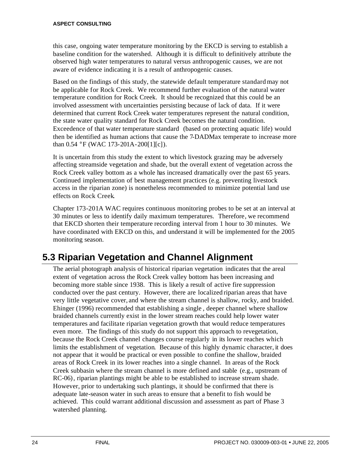this case, ongoing water temperature monitoring by the EKCD is serving to establish a baseline condition for the watershed. Although it is difficult to definitively attribute the observed high water temperatures to natural versus anthropogenic causes, we are not aware of evidence indicating it is a result of anthropogenic causes.

Based on the findings of this study, the statewide default temperature standard may not be applicable for Rock Creek. We recommend further evaluation of the natural water temperature condition for Rock Creek. It should be recognized that this could be an involved assessment with uncertainties persisting because of lack of data. If it were determined that current Rock Creek water temperatures represent the natural condition, the state water quality standard for Rock Creek becomes the natural condition. Exceedence of that water temperature standard (based on protecting aquatic life) would then be identified as human actions that cause the 7-DADMax temperate to increase more than 0.54 °F (WAC 173-201A-200[1][c]).

It is uncertain from this study the extent to which livestock grazing may be adversely affecting streamside vegetation and shade, but the overall extent of vegetation across the Rock Creek valley bottom as a whole has increased dramatically over the past 65 years. Continued implementation of best management practices (e.g. preventing livestock access in the riparian zone) is nonetheless recommended to minimize potential land use effects on Rock Creek.

Chapter 173-201A WAC requires continuous monitoring probes to be set at an interval at 30 minutes or less to identify daily maximum temperatures. Therefore, we recommend that EKCD shorten their temperature recording interval from 1 hour to 30 minutes. We have coordinated with EKCD on this, and understand it will be implemented for the 2005 monitoring season.

## **5.3 Riparian Vegetation and Channel Alignment**

The aerial photograph analysis of historical riparian vegetation indicates that the areal extent of vegetation across the Rock Creek valley bottom has been increasing and becoming more stable since 1938. This is likely a result of active fire suppression conducted over the past century. However, there are localized riparian areas that have very little vegetative cover, and where the stream channel is shallow, rocky, and braided. Ehinger (1996) recommended that establishing a single , deeper channel where shallow braided channels currently exist in the lower stream reaches could help lower water temperatures and facilitate riparian vegetation growth that would reduce temperatures even more. The findings of this study do not support this approach to revegetation, because the Rock Creek channel changes course regularly in its lower reaches which limits the establishment of vegetation. Because of this highly dynamic character, it does not appear that it would be practical or even possible to confine the shallow, braided areas of Rock Creek in its lower reaches into a single channel. In areas of the Rock Creek subbasin where the stream channel is more defined and stable (e.g., upstream of RC-06), riparian plantings might be able to be established to increase stream shade. However, prior to undertaking such plantings, it should be confirmed that there is adequate late-season water in such areas to ensure that a benefit to fish would be achieved. This could warrant additional discussion and assessment as part of Phase 3 watershed planning.